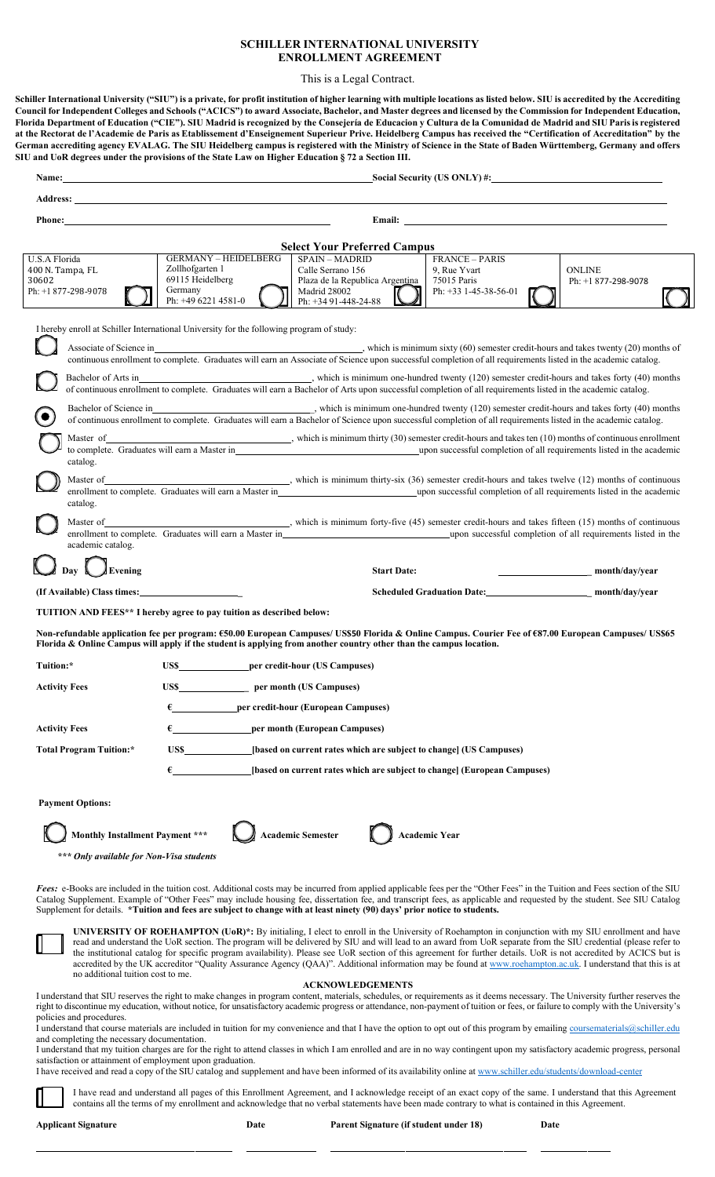#### **SCHILLER INTERNATIONAL UNIVERSITY ENROLLMENT AGREEMENT**

This is a Legal Contract.

**Schiller International University ("SIU") is a private, for profit institution of higher learning with multiple locations as listed below. SIU is accredited by the Accrediting Council for Independent Colleges and Schools ("ACICS") to award Associate, Bachelor, and Master degrees and licensed by the Commission for Independent Education, Florida Department of Education ("CIE"). SIU Madrid is recognized by the Consejería de Educacion y Cultura de la Comunidad de Madrid and SIU Parisis registered** at the Rectorat de l'Academie de Paris as Etablissement d'Enseignement Superieur Prive. Heidelberg Campus has received the "Certification of Accreditation" by the **German accrediting agency EVALAG. The SIU Heidelberg campus is registered with the Ministry of Science in the State of Baden Württemberg, Germany and offers SIU and UoR degrees under the provisions of the State Law on Higher Education § 72 a Section III.**

| Name:                                                                                                        |                                          |                                                                                                                                                                                                                                |                                                       | Social Security (US ONLY) #:                                             |                                                                                                                                                                                                                                                                                                                           |
|--------------------------------------------------------------------------------------------------------------|------------------------------------------|--------------------------------------------------------------------------------------------------------------------------------------------------------------------------------------------------------------------------------|-------------------------------------------------------|--------------------------------------------------------------------------|---------------------------------------------------------------------------------------------------------------------------------------------------------------------------------------------------------------------------------------------------------------------------------------------------------------------------|
|                                                                                                              |                                          | Address: the contract of the contract of the contract of the contract of the contract of the contract of the contract of the contract of the contract of the contract of the contract of the contract of the contract of the c |                                                       |                                                                          |                                                                                                                                                                                                                                                                                                                           |
|                                                                                                              |                                          | Phone: Note: 2008. The Contract of the Contract of the Contract of the Contract of the Contract of the Contract of the Contract of the Contract of the Contract of the Contract of the Contract of the Contract of the Contrac |                                                       |                                                                          | Email: The contract of the contract of the contract of the contract of the contract of the contract of the contract of the contract of the contract of the contract of the contract of the contract of the contract of the con                                                                                            |
|                                                                                                              |                                          |                                                                                                                                                                                                                                |                                                       |                                                                          |                                                                                                                                                                                                                                                                                                                           |
| U.S.A Florida                                                                                                |                                          | <b>GERMANY - HEIDELBERG</b>                                                                                                                                                                                                    | <b>Select Your Preferred Campus</b><br>SPAIN - MADRID | <b>FRANCE - PARIS</b>                                                    |                                                                                                                                                                                                                                                                                                                           |
| 400 N. Tampa, FL                                                                                             | Zollhofgarten 1                          |                                                                                                                                                                                                                                | Calle Serrano 156                                     | 9, Rue Yvart                                                             | <b>ONLINE</b>                                                                                                                                                                                                                                                                                                             |
| 30602<br>Ph: +1 877-298-9078                                                                                 | 69115 Heidelberg<br>Germany              |                                                                                                                                                                                                                                | Plaza de la Republica Argentina<br>Madrid 28002       | 75015 Paris<br>Ph: +33 1-45-38-56-01                                     | Ph: $+1877-298-9078$                                                                                                                                                                                                                                                                                                      |
|                                                                                                              | Ph: +49 6221 4581-0                      |                                                                                                                                                                                                                                | Ph: +34 91-448-24-88                                  |                                                                          |                                                                                                                                                                                                                                                                                                                           |
|                                                                                                              |                                          | I hereby enroll at Schiller International University for the following program of study:                                                                                                                                       |                                                       |                                                                          |                                                                                                                                                                                                                                                                                                                           |
|                                                                                                              |                                          |                                                                                                                                                                                                                                |                                                       |                                                                          |                                                                                                                                                                                                                                                                                                                           |
|                                                                                                              |                                          |                                                                                                                                                                                                                                |                                                       |                                                                          | continuous enrollment to complete. Graduates will earn an Associate of Science upon successful completion of all requirements listed in the academic catalog.                                                                                                                                                             |
| Bachelor of Arts in                                                                                          |                                          |                                                                                                                                                                                                                                |                                                       |                                                                          | which is minimum one-hundred twenty (120) semester credit-hours and takes forty (40) months                                                                                                                                                                                                                               |
|                                                                                                              |                                          |                                                                                                                                                                                                                                |                                                       |                                                                          | of continuous enrollment to complete. Graduates will earn a Bachelor of Arts upon successful completion of all requirements listed in the academic catalog.                                                                                                                                                               |
|                                                                                                              |                                          |                                                                                                                                                                                                                                |                                                       |                                                                          |                                                                                                                                                                                                                                                                                                                           |
|                                                                                                              |                                          |                                                                                                                                                                                                                                |                                                       |                                                                          | of continuous enrollment to complete. Graduates will earn a Bachelor of Science upon successful completion of all requirements listed in the academic catalog.                                                                                                                                                            |
| Master of                                                                                                    |                                          |                                                                                                                                                                                                                                |                                                       |                                                                          | which is minimum thirty $(30)$ semester credit-hours and takes ten $(10)$ months of continuous enrollment<br>to complete. Graduates will earn a Master in example to result that the seasonal completion of all requirements listed in the academic                                                                       |
| catalog.                                                                                                     |                                          |                                                                                                                                                                                                                                |                                                       |                                                                          |                                                                                                                                                                                                                                                                                                                           |
|                                                                                                              |                                          |                                                                                                                                                                                                                                |                                                       |                                                                          | Master of Master of Allen Continuous (36) semester credit-hours and takes twelve (12) months of continuous                                                                                                                                                                                                                |
| catalog.                                                                                                     |                                          |                                                                                                                                                                                                                                |                                                       |                                                                          | enrollment to complete. Graduates will earn a Master in entity of the state of all requirements listed in the academic                                                                                                                                                                                                    |
|                                                                                                              |                                          |                                                                                                                                                                                                                                |                                                       |                                                                          | Master of Master of Allen Continuous (Allen Continuous Allen Continuous Allen Continuous Allen Continuous Allen Continuous Allen Continuous (Allen Continuous Allen Continuous Allen Continuous Allen Continuous Allen Continu                                                                                            |
|                                                                                                              |                                          |                                                                                                                                                                                                                                |                                                       |                                                                          | enrollment to complete. Graduates will earn a Master in example to the state of all requirements listed in the                                                                                                                                                                                                            |
| academic catalog.                                                                                            |                                          |                                                                                                                                                                                                                                |                                                       |                                                                          |                                                                                                                                                                                                                                                                                                                           |
| Day $\mathbf{\mathbb{L}}$                                                                                    | Evening                                  |                                                                                                                                                                                                                                | <b>Start Date:</b>                                    |                                                                          | month/day/year                                                                                                                                                                                                                                                                                                            |
|                                                                                                              |                                          |                                                                                                                                                                                                                                |                                                       |                                                                          | Scheduled Graduation Date: month/day/year                                                                                                                                                                                                                                                                                 |
|                                                                                                              |                                          | TUITION AND FEES** I hereby agree to pay tuition as described below:                                                                                                                                                           |                                                       |                                                                          |                                                                                                                                                                                                                                                                                                                           |
|                                                                                                              |                                          |                                                                                                                                                                                                                                |                                                       |                                                                          | Non-refundable application fee per program: €50.00 European Campuses/ US\$50 Florida & Online Campus. Courier Fee of €87.00 European Campuses/ US\$65                                                                                                                                                                     |
|                                                                                                              |                                          | Florida & Online Campus will apply if the student is applying from another country other than the campus location.                                                                                                             |                                                       |                                                                          |                                                                                                                                                                                                                                                                                                                           |
| Tuition:*                                                                                                    |                                          | US\$____________________per credit-hour (US Campuses)                                                                                                                                                                          |                                                       |                                                                          |                                                                                                                                                                                                                                                                                                                           |
| <b>Activity Fees</b>                                                                                         |                                          |                                                                                                                                                                                                                                |                                                       |                                                                          |                                                                                                                                                                                                                                                                                                                           |
|                                                                                                              |                                          | per credit-hour (European Campuses)                                                                                                                                                                                            |                                                       |                                                                          |                                                                                                                                                                                                                                                                                                                           |
| <b>Activity Fees</b>                                                                                         |                                          | per month (European Campuses)                                                                                                                                                                                                  |                                                       |                                                                          |                                                                                                                                                                                                                                                                                                                           |
| [based on current rates which are subject to change] (US Campuses)<br><b>Total Program Tuition:*</b><br>US\$ |                                          |                                                                                                                                                                                                                                |                                                       |                                                                          |                                                                                                                                                                                                                                                                                                                           |
|                                                                                                              |                                          |                                                                                                                                                                                                                                |                                                       |                                                                          |                                                                                                                                                                                                                                                                                                                           |
|                                                                                                              |                                          |                                                                                                                                                                                                                                |                                                       | [based on current rates which are subject to change] (European Campuses) |                                                                                                                                                                                                                                                                                                                           |
| <b>Payment Options:</b>                                                                                      |                                          |                                                                                                                                                                                                                                |                                                       |                                                                          |                                                                                                                                                                                                                                                                                                                           |
|                                                                                                              |                                          |                                                                                                                                                                                                                                |                                                       |                                                                          |                                                                                                                                                                                                                                                                                                                           |
|                                                                                                              | Monthly Installment Payment ***          | <b>Academic Semester</b>                                                                                                                                                                                                       |                                                       | <b>Academic Year</b>                                                     |                                                                                                                                                                                                                                                                                                                           |
|                                                                                                              | *** Only available for Non-Visa students |                                                                                                                                                                                                                                |                                                       |                                                                          |                                                                                                                                                                                                                                                                                                                           |
|                                                                                                              |                                          |                                                                                                                                                                                                                                |                                                       |                                                                          |                                                                                                                                                                                                                                                                                                                           |
|                                                                                                              |                                          |                                                                                                                                                                                                                                |                                                       |                                                                          | Fees: e-Books are included in the tuition cost. Additional costs may be incurred from applied applicable fees per the "Other Fees" in the Tuition and Fees section of the SIU                                                                                                                                             |
|                                                                                                              |                                          | Supplement for details. *Tuition and fees are subject to change with at least ninety (90) days' prior notice to students.                                                                                                      |                                                       |                                                                          | Catalog Supplement. Example of "Other Fees" may include housing fee, dissertation fee, and transcript fees, as applicable and requested by the student. See SIU Catalog                                                                                                                                                   |
|                                                                                                              |                                          |                                                                                                                                                                                                                                |                                                       |                                                                          |                                                                                                                                                                                                                                                                                                                           |
|                                                                                                              |                                          |                                                                                                                                                                                                                                |                                                       |                                                                          | <b>UNIVERSITY OF ROEHAMPTON (UoR)*:</b> By initialing, I elect to enroll in the University of Roehampton in conjunction with my SIU enrollment and have<br>read and understand the UoR section. The program will be delivered by SIU and will lead to an award from UoR separate from the SIU credential (please refer to |
|                                                                                                              |                                          |                                                                                                                                                                                                                                |                                                       |                                                                          | the institutional catalog for specific program availability). Please see UoR section of this agreement for further details. UoR is not accredited by ACICS but is                                                                                                                                                         |
|                                                                                                              | no additional tuition cost to me.        |                                                                                                                                                                                                                                |                                                       |                                                                          | accredited by the UK accreditor "Quality Assurance Agency (QAA)". Additional information may be found at www.roehampton.ac.uk. I understand that this is at                                                                                                                                                               |
|                                                                                                              |                                          |                                                                                                                                                                                                                                | <b>ACKNOWLEDGEMENTS</b>                               |                                                                          | I understand that SIU reserves the right to make changes in program content, materials, schedules, or requirements as it deems necessary. The University further reserves the                                                                                                                                             |

right to discontinue my education, without notice, for unsatisfactory academic progress or attendance, non-payment of tuition or fees, or failure to comply with the University's policies and procedures.

I understand that course materials are included in tuition for my convenience and that I have the option to opt out of this program by emailin[g coursematerials@schiller.edu](mailto:coursematerials@schiller.edu) and completing the necessary documentation.

I understand that my tuition charges are for the right to attend classes in which I am enrolled and are in no way contingent upon my satisfactory academic progress, personal satisfaction or attainment of employment upon graduation.

I have received and read a copy of the SIU catalog and supplement and have been informed of its availability online at [www.schiller.edu/students/download-center](http://www.schiller.edu/students/download-center)

I have read and understand all pages of this Enrollment Agreement, and I acknowledge receipt of an exact copy of the same. I understand that this Agreement contains all the terms of my enrollment and acknowledge that no verbal statements have been made contrary to what is contained in this Agreement.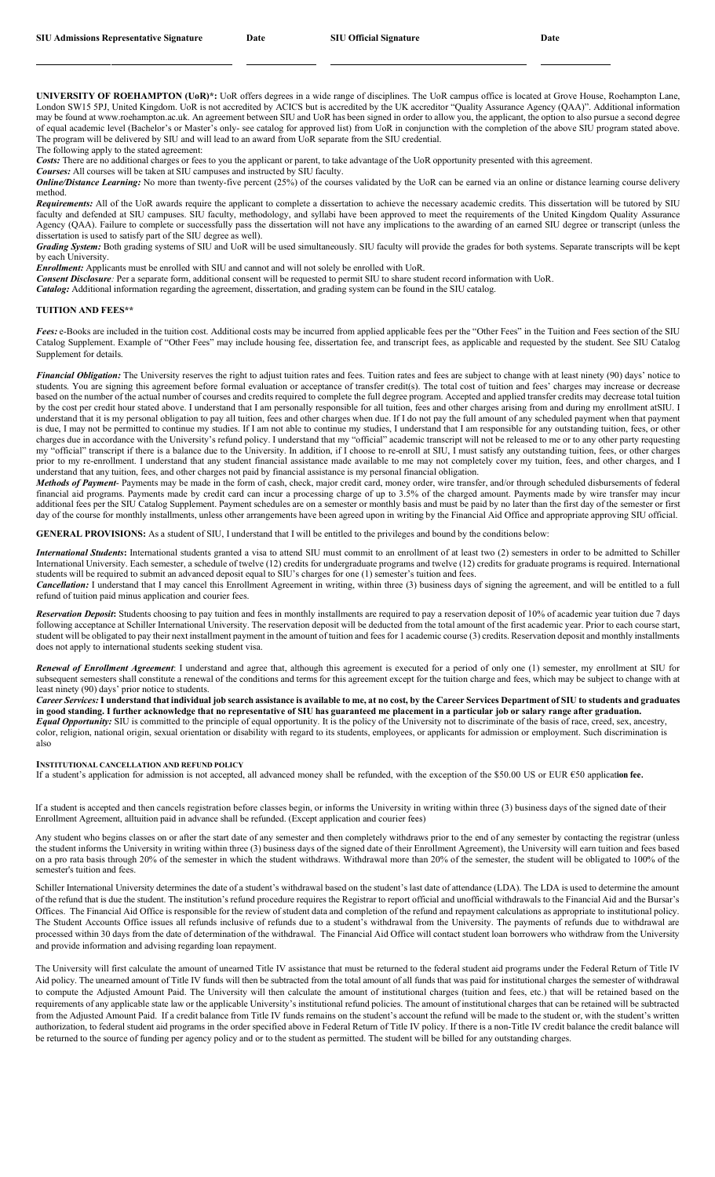**UNIVERSITY OF ROEHAMPTON (UoR)\*:** UoR offers degrees in a wide range of disciplines. The UoR campus office is located at Grove House, Roehampton Lane, London SW15 5PJ, United Kingdom. UoR is not accredited by ACICS but is accredited by the UK accreditor "Quality Assurance Agency (QAA)". Additional information may be found at [www.roehampton.ac.uk.](http://www.roehampton.ac.uk/) An agreement between SIU and UoR has been signed in order to allow you, the applicant, the option to also pursue a second degree of equal academic level (Bachelor's or Master's only- see catalog for approved list) from UoR in conjunction with the completion of the above SIU program stated above. The program will be delivered by SIU and will lead to an award from UoR separate from the SIU credential.

The following apply to the stated agreement:

Costs: There are no additional charges or fees to you the applicant or parent, to take advantage of the UoR opportunity presented with this agreement.

*Courses:* All courses will be taken at SIU campuses and instructed by SIU faculty.

**Online/Distance Learning:** No more than twenty-five percent (25%) of the courses validated by the UoR can be earned via an online or distance learning course delivery method.

*Requirements:* All of the UoR awards require the applicant to complete a dissertation to achieve the necessary academic credits. This dissertation will be tutored by SIU faculty and defended at SIU campuses. SIU faculty, methodology, and syllabi have been approved to meet the requirements of the United Kingdom Quality Assurance Agency (QAA). Failure to complete or successfully pass the dissertation will not have any implications to the awarding of an earned SIU degree or transcript (unless the dissertation is used to satisfy part of the SIU degree as well).

*Grading System:* Both grading systems of SIU and UoR will be used simultaneously. SIU faculty will provide the grades for both systems. Separate transcripts will be kept by each University.

*Enrollment:* Applicants must be enrolled with SIU and cannot and will not solely be enrolled with UoR.

*Consent Disclosure:* Per a separate form, additional consent will be requested to permit SIU to share student record information with UoR. *Catalog:* Additional information regarding the agreement, dissertation, and grading system can be found in the SIU catalog.

#### **TUITION AND FEES\*\***

*Fees:* e-Books are included in the tuition cost. Additional costs may be incurred from applied applicable fees per the "Other Fees" in the Tuition and Fees section of the SIU Catalog Supplement. Example of "Other Fees" may include housing fee, dissertation fee, and transcript fees, as applicable and requested by the student. See SIU Catalog Supplement for details.

*Financial Obligation:* The University reserves the right to adjust tuition rates and fees. Tuition rates and fees are subject to change with at least ninety (90) days' notice to students. You are signing this agreement before formal evaluation or acceptance of transfer credit(s). The total cost of tuition and fees' charges may increase or decrease based on the number of the actual number of courses and credits required to complete the full degree program. Accepted and applied transfer credits may decrease total tuition by the cost per credit hour stated above. I understand that I am personally responsible for all tuition, fees and other charges arising from and during my enrollment atSIU. I understand that it is my personal obligation to pay all tuition, fees and other charges when due. If I do not pay the full amount of any scheduled payment when that payment is due, I may not be permitted to continue my studies. If I am not able to continue my studies, I understand that I am responsible for any outstanding tuition, fees, or other charges due in accordance with the University's refund policy. I understand that my "official" academic transcript will not be released to me or to any other party requesting my "official" transcript if there is a balance due to the University. In addition, if I choose to re-enroll at SIU, I must satisfy any outstanding tuition, fees, or other charges prior to my re-enrollment. I understand that any student financial assistance made available to me may not completely cover my tuition, fees, and other charges, and I understand that any tuition, fees, and other charges not paid by financial assistance is my personal financial obligation.

*Methods of Payment*- Payments may be made in the form of cash, check, major credit card, money order, wire transfer, and/or through scheduled disbursements of federal financial aid programs. Payments made by credit card can incur a processing charge of up to 3.5% of the charged amount. Payments made by wire transfer may incur additional fees per the SIU Catalog Supplement. Payment schedules are on a semester or monthly basis and must be paid by no later than the first day of the semester or first day of the course for monthly installments, unless other arrangements have been agreed upon in writing by the Financial Aid Office and appropriate approving SIU official.

**GENERAL PROVISIONS:** As a student of SIU, I understand that I will be entitled to the privileges and bound by the conditions below:

*International Students***:** International students granted a visa to attend SIU must commit to an enrollment of at least two (2) semesters in order to be admitted to Schiller International University. Each semester, a schedule of twelve (12) credits for undergraduate programs and twelve (12) credits for graduate programs is required. International students will be required to submit an advanced deposit equal to SIU's charges for one (1) semester's tuition and fees.

*Cancellation:* I understand that I may cancel this Enrollment Agreement in writing, within three (3) business days of signing the agreement, and will be entitled to a full refund of tuition paid minus application and courier fees.

*Reservation Deposit***:** Students choosing to pay tuition and fees in monthly installments are required to pay a reservation deposit of 10% of academic year tuition due 7 days following acceptance at Schiller International University. The reservation deposit will be deducted from the total amount of the first academic year. Prior to each course start, student will be obligated to pay their next installment payment in the amount of tuition and fees for 1 academic course (3) credits. Reservation deposit and monthly installments does not apply to international students seeking student visa.

*Renewal of Enrollment Agreement*: I understand and agree that, although this agreement is executed for a period of only one (1) semester, my enrollment at SIU for subsequent semesters shall constitute a renewal of the conditions and terms for this agreement except for the tuition charge and fees, which may be subject to change with at least ninety (90) days' prior notice to students.

Career Services: I understand that individual job search assistance is available to me, at no cost, by the Career Services Department of SIU to students and graduates in good standing. I further acknowledge that no representative of SIU has guaranteed me placement in a particular job or salary range after graduation. Equal Opportunity: SIU is committed to the principle of equal opportunity. It is the policy of the University not to discriminate of the basis of race, creed, sex, ancestry, color, religion, national origin, sexual orientation or disability with regard to its students, employees, or applicants for admission or employment. Such discrimination is also

**INSTITUTIONAL CANCELLATION AND REFUND POLICY** 

If a student's application for admission is not accepted, all advanced money shall be refunded, with the exception of the \$50.00 US or EUR €50 application fee.

If a student is accepted and then cancels registration before classes begin, or informs the University in writing within three (3) business days of the signed date of their Enrollment Agreement, alltuition paid in advance shall be refunded. (Except application and courier fees)

Any student who begins classes on or after the start date of any semester and then completely withdraws prior to the end of any semester by contacting the registrar (unless the student informs the University in writing within three (3) business days of the signed date of their Enrollment Agreement), the University will earn tuition and fees based on a pro rata basis through 20% of the semester in which the student withdraws. Withdrawal more than 20% of the semester, the student will be obligated to 100% of the semester's tuition and fees.

Schiller International University determines the date of a student's withdrawal based on the student's last date of attendance (LDA). The LDA is used to determine the amount of the refund that is due the student. The institution's refund procedure requires the Registrar to report official and unofficial withdrawals to the Financial Aid and the Bursar's Offices. The Financial Aid Office is responsible for the review of student data and completion of the refund and repayment calculations as appropriate to institutional policy. The Student Accounts Office issues all refunds inclusive of refunds due to a student's withdrawal from the University. The payments of refunds due to withdrawal are processed within 30 days from the date of determination of the withdrawal. The Financial Aid Office will contact student loan borrowers who withdraw from the University and provide information and advising regarding loan repayment.

The University will first calculate the amount of unearned Title IV assistance that must be returned to the federal student aid programs under the Federal Return of Title IV Aid policy. The unearned amount of Title IV funds will then be subtracted from the total amount of all funds that was paid for institutional charges the semester of withdrawal to compute the Adjusted Amount Paid. The University will then calculate the amount of institutional charges (tuition and fees, etc.) that will be retained based on the requirements of any applicable state law or the applicable University's institutional refund policies. The amount of institutional charges that can be retained will be subtracted from the Adjusted Amount Paid. If a credit balance from Title IV funds remains on the student's account the refund will be made to the student or, with the student's written authorization, to federal student aid programs in the order specified above in Federal Return of Title IV policy. If there is a non-Title IV credit balance the credit balance will be returned to the source of funding per agency policy and or to the student as permitted. The student will be billed for any outstanding charges.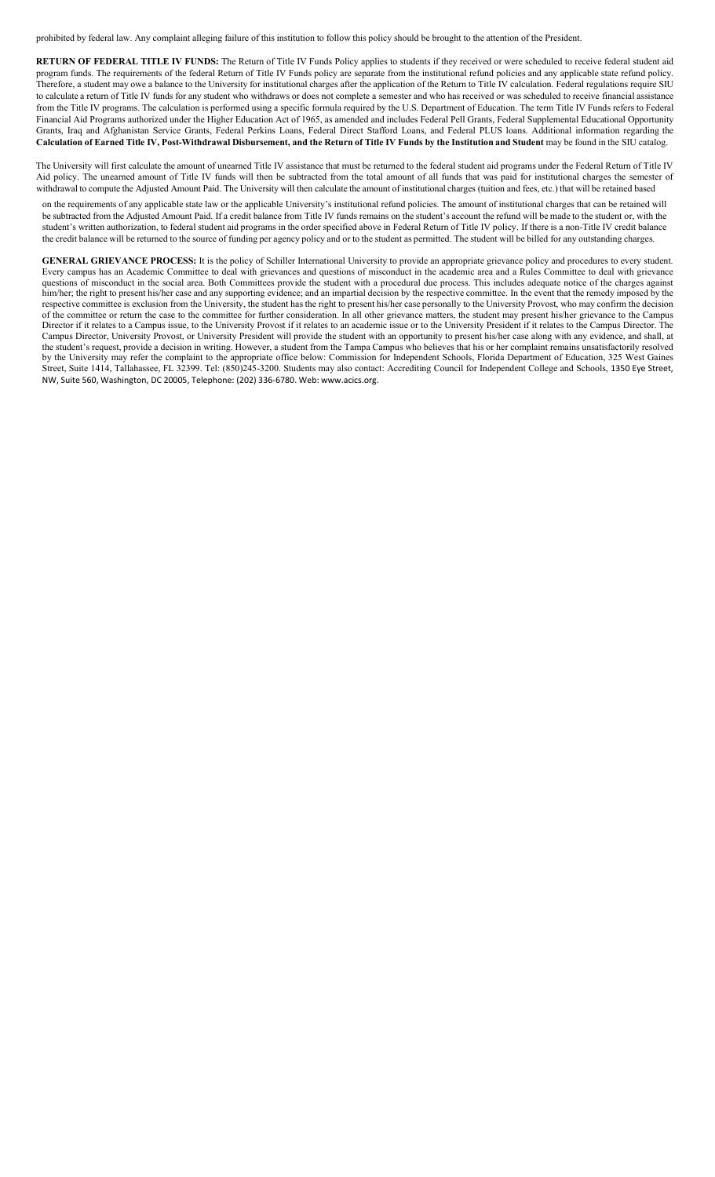prohibited by federal law. Any complaint alleging failure of this institution to follow this policy should be brought to the attention of the President.

**RETURN OF FEDERAL TITLE IV FUNDS:** The Return of Title IV Funds Policy applies to students if they received or were scheduled to receive federal student aid program funds. The requirements of the federal Return of Title IV Funds policy are separate from the institutional refund policies and any applicable state refund policy. Therefore, a student may owe a balance to the University for institutional charges after the application of the Return to Title IV calculation. Federal regulations require SIU to calculate a return of Title IV funds for any student who withdraws or does not complete a semester and who has received or was scheduled to receive financial assistance from the Title IV programs. The calculation is performed using a specific formula required by the U.S. Department of Education. The term Title IV Funds refers to Federal Financial Aid Programs authorized under the Higher Education Act of 1965, as amended and includes Federal Pell Grants, Federal Supplemental Educational Opportunity Grants, Iraq and Afghanistan Service Grants, Federal Perkins Loans, Federal Direct Stafford Loans, and Federal PLUS loans. Additional information regarding the Calculation of Earned Title IV, Post-Withdrawal Disbursement, and the Return of Title IV Funds by the Institution and Student may be found in the SIU catalog.

The University will first calculate the amount of unearned Title IV assistance that must be returned to the federal student aid programs under the Federal Return of Title IV Aid policy. The unearned amount of Title IV funds will then be subtracted from the total amount of all funds that was paid for institutional charges the semester of withdrawal to compute the Adjusted Amount Paid. The University will then calculate the amount of institutional charges (tuition and fees, etc.) that will be retained based

on the requirements of any applicable state law or the applicable University's institutional refund policies. The amount of institutional charges that can be retained will be subtracted from the Adjusted Amount Paid. If a credit balance from Title IV funds remains on the student's account the refund will be made to the student or, with the student's written authorization, to federal student aid programs in the order specified above in Federal Return of Title IV policy. If there is a non-Title IV credit balance the credit balance will be returned to the source of funding per agency policy and or to the student as permitted. The student will be billed for any outstanding charges.

**GENERAL GRIEVANCE PROCESS:** It is the policy of Schiller International University to provide an appropriate grievance policy and procedures to every student. Every campus has an Academic Committee to deal with grievances and questions of misconduct in the academic area and a Rules Committee to deal with grievance questions of misconduct in the social area. Both Committees provide the student with a procedural due process. This includes adequate notice of the charges against him/her; the right to present his/her case and any supporting evidence; and an impartial decision by the respective committee. In the event that the remedy imposed by the respective committee is exclusion from the University, the student has the right to present his/her case personally to the University Provost, who may confirm the decision of the committee or return the case to the committee for further consideration. In all other grievance matters, the student may present his/her grievance to the Campus Director if it relates to a Campus issue, to the University Provost if it relates to an academic issue or to the University President if it relates to the Campus Director. The Campus Director, University Provost, or University President will provide the student with an opportunity to present his/her case along with any evidence, and shall, at the student's request, provide a decision in writing. However, a student from the Tampa Campus who believes that his or her complaint remains unsatisfactorily resolved by the University may refer the complaint to the appropriate office below: Commission for Independent Schools, Florida Department of Education, 325 West Gaines Street, Suite 1414, Tallahassee, FL 32399. Tel: (850)245-3200. Students may also contact: Accrediting Council for Independent College and Schools, 1350 Eye Street, NW, Suite 560, Washington, DC 20005, Telephone: (202) 336-6780. Web: [www.acics.org.](http://www.acics.org/)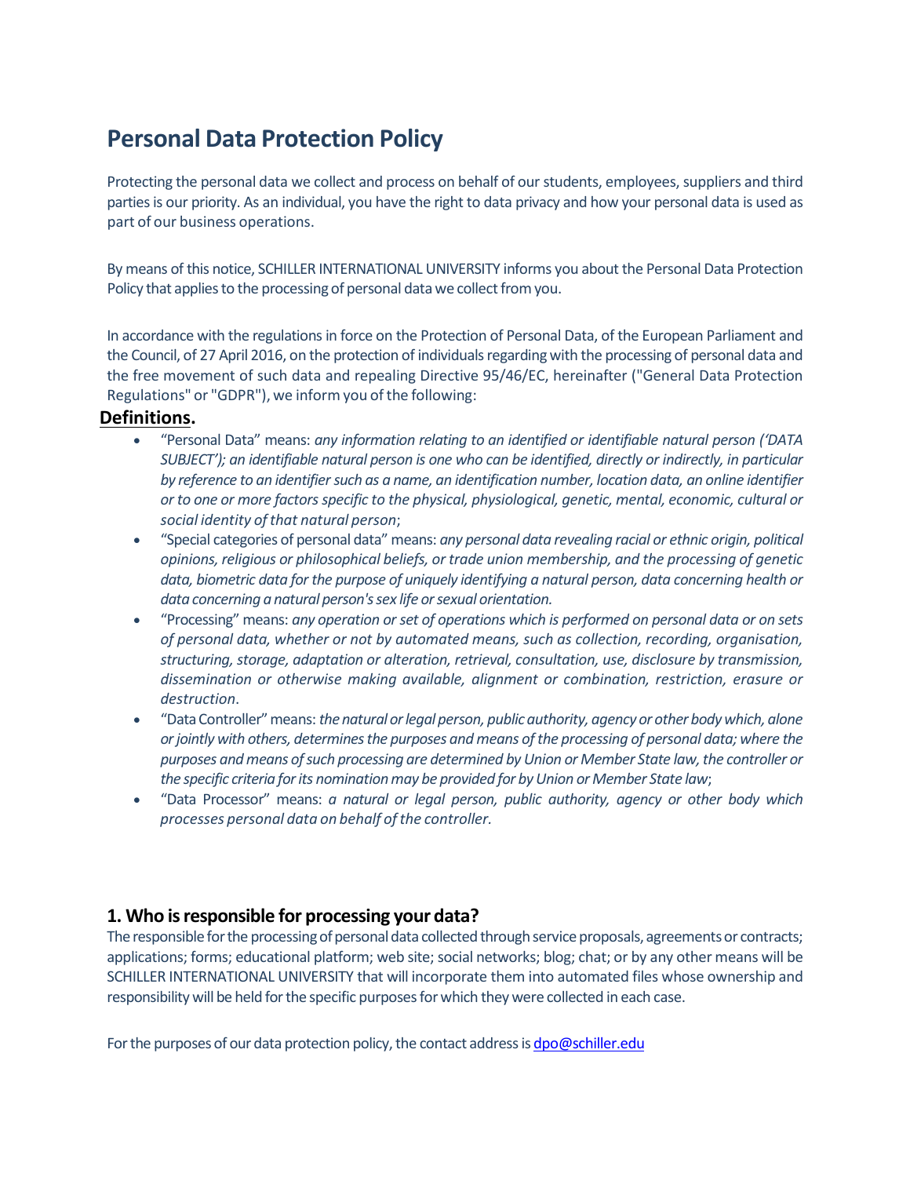# **Personal Data Protection Policy**

Protecting the personal data we collect and process on behalf of our students, employees, suppliers and third partiesis our priority. As an individual, you have the right to data privacy and how your personal data is used as part of our business operations.

By means of this notice, SCHILLER INTERNATIONAL UNIVERSITY informs you about the Personal Data Protection Policy that applies to the processing of personal data we collect from you.

In accordance with the regulations in force on the Protection of Personal Data, of the European Parliament and the Council, of 27 April 2016, on the protection of individuals regarding with the processing of personal data and the free movement of such data and repealing Directive 95/46/EC, hereinafter ("General Data Protection Regulations" or "GDPR"), we inform you of the following:

#### **Definitions.**

- "Personal Data" means: *any information relating to an identified or identifiable natural person ('DATA SUBJECT'); an identifiable natural person is one who can be identified, directly or indirectly, in particular by reference to an identifiersuch as a name, an identification number, location data, an online identifier or to one or more factorsspecific to the physical, physiological, genetic, mental, economic, cultural or social identity ofthat natural person*;
- "Special categories of personal data" means: *any personal data revealing racial or ethnic origin, political opinions, religious or philosophical beliefs, or trade union membership, and the processing of genetic data, biometric data for the purpose of uniquely identifying a natural person, data concerning health or data concerning a natural person'ssex life orsexual orientation.*
- "Processing" means: *any operation or set of operations which is performed on personal data or on sets of personal data, whether or not by automated means, such as collection, recording, organisation, structuring, storage, adaptation or alteration, retrieval, consultation, use, disclosure by transmission, dissemination or otherwise making available, alignment or combination, restriction, erasure or destruction*.
- "DataController"means: *thenatural orlegal person, publicauthority, agency or other bodywhich, alone orjointly with others, determinesthe purposes and means ofthe processing of personal data; where the purposes andmeans ofsuch processing are determined by Union or Member State law,the controller or the specific criteria forits nominationmay be provided for byUnion or Member State law*;
- "Data Processor" means: *a natural or legal person, public authority, agency or other body which processes personal data on behalf ofthe controller.*

### **1. Who isresponsible for processing your data?**

The responsible for the processing of personal data collected through service proposals, agreements or contracts; applications; forms; educational platform; web site; social networks; blog; chat; or by any other means will be SCHILLER INTERNATIONAL UNIVERSITY that will incorporate them into automated files whose ownership and responsibility will be held for the specific purposes for which they were collected in each case.

For the purposes of our data protection policy, the contact address is  $\frac{d}{d}$  of  $\frac{d}{d}$  and  $\frac{d}{d}$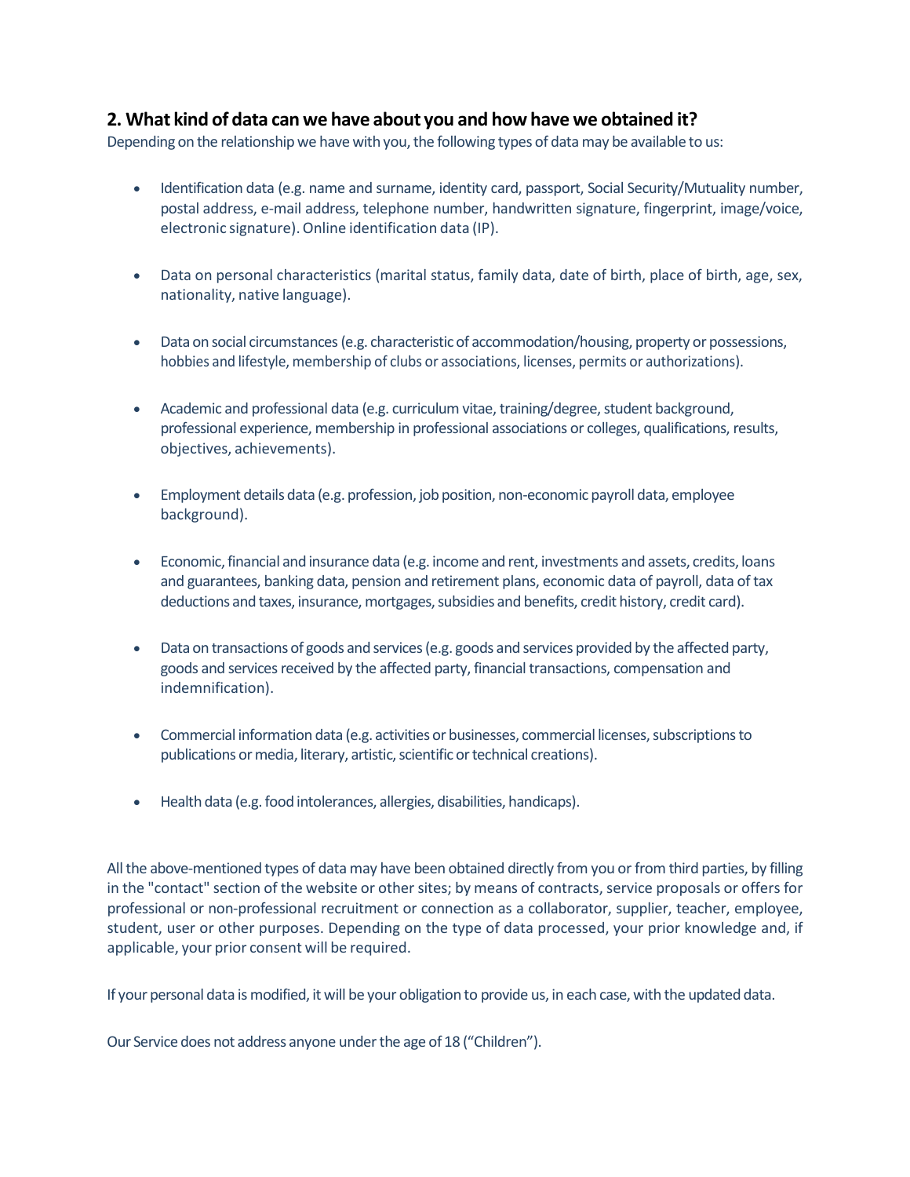#### **2. What kind of data can we have about you and howhave we obtained it?**

Depending on the relationship we have with you, the following types of data may be available to us:

- Identification data (e.g. name and surname, identity card, passport, Social Security/Mutuality number, postal address, e-mail address, telephone number, handwritten signature, fingerprint, image/voice, electronic signature).Online identification data (IP).
- Data on personal characteristics (marital status, family data, date of birth, place of birth, age, sex, nationality, native language).
- Data on social circumstances (e.g. characteristic of accommodation/housing, property or possessions, hobbies and lifestyle, membership of clubs or associations, licenses, permits or authorizations).
- Academic and professional data (e.g. curriculum vitae, training/degree, student background, professional experience, membership in professional associations or colleges, qualifications, results, objectives, achievements).
- Employment details data (e.g. profession, job position, non-economic payroll data, employee background).
- Economic,financial and insurance data (e.g. income and rent, investments and assets, credits, loans and guarantees, banking data, pension and retirement plans, economic data of payroll, data of tax deductions and taxes, insurance, mortgages, subsidies and benefits, credit history, credit card).
- Data on transactions of goods and services (e.g. goods and services provided by the affected party, goods and services received by the affected party, financial transactions, compensation and indemnification).
- Commercial information data (e.g. activities or businesses, commercial licenses, subscriptions to publications or media, literary, artistic, scientific or technical creations).
- Health data (e.g. food intolerances, allergies, disabilities, handicaps).

All the above-mentioned types of data may have been obtained directly from you or from third parties, by filling in the "contact" section of the website or other sites; by means of contracts, service proposals or offers for professional or non-professional recruitment or connection as a collaborator, supplier, teacher, employee, student, user or other purposes. Depending on the type of data processed, your prior knowledge and, if applicable, your prior consent will be required.

If your personal data is modified, it will be your obligation to provide us, in each case,with the updated data.

Our Service does not address anyone under the age of 18 ("Children").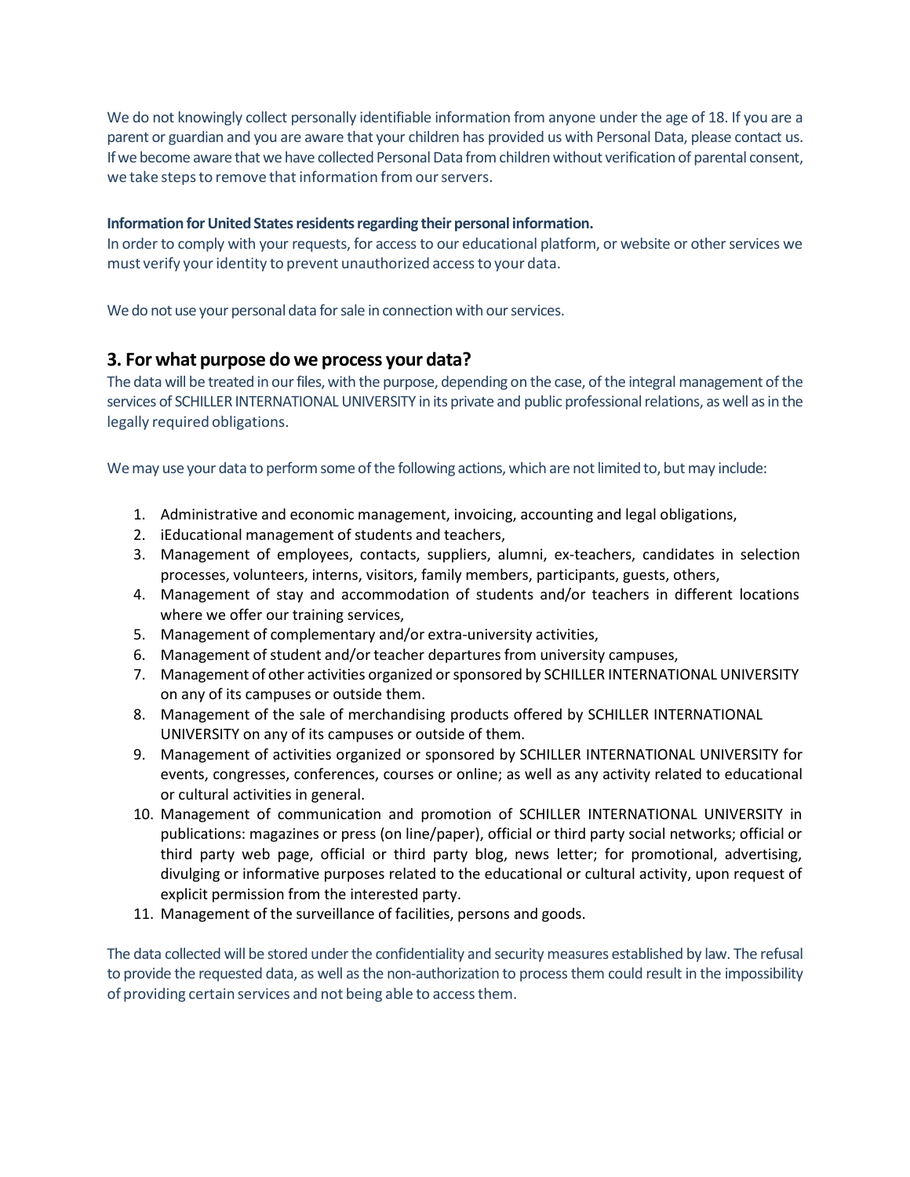We do not knowingly collect personally identifiable information from anyone under the age of 18. If you are a parent or guardian and you are aware that your children has provided us with Personal Data, please contact us. If we become aware that we have collected Personal Data from children without verification of parental consent, we take steps to remove that information from our servers.

#### **Information forUnited Statesresidentsregarding their personal information.**

In order to comply with your requests, for access to our educational platform, or website or other services we must verify youridentity to prevent unauthorized accessto your data.

We do not use your personal data for sale in connection with our services.

#### **3. For what purpose do we process your data?**

The data will be treated in our files, with the purpose, depending on the case, of the integral management of the services of SCHILLER INTERNATIONAL UNIVERSITY in its private and public professional relations, as well as in the legally required obligations.

We may use your data to perform some of the following actions, which are not limited to, but may include:

- 1. Administrative and economic management, invoicing, accounting and legal obligations,
- 2. iEducational management of students and teachers,
- 3. Management of employees, contacts, suppliers, alumni, ex-teachers, candidates in selection processes, volunteers, interns, visitors, family members, participants, guests, others,
- 4. Management of stay and accommodation of students and/or teachers in different locations where we offer our training services,
- 5. Management of complementary and/or extra-university activities,
- 6. Management of student and/or teacher departures from university campuses,
- 7. Management of other activities organized orsponsored by SCHILLER INTERNATIONAL UNIVERSITY on any of its campuses or outside them.
- 8. Management of the sale of merchandising products offered by SCHILLER INTERNATIONAL UNIVERSITY on any of its campuses or outside of them.
- 9. Management of activities organized or sponsored by SCHILLER INTERNATIONAL UNIVERSITY for events, congresses, conferences, courses or online; as well as any activity related to educational or cultural activities in general.
- 10. Management of communication and promotion of SCHILLER INTERNATIONAL UNIVERSITY in publications: magazines or press (on line/paper), official or third party social networks; official or third party web page, official or third party blog, news letter; for promotional, advertising, divulging or informative purposes related to the educational or cultural activity, upon request of explicit permission from the interested party.
- 11. Management of the surveillance of facilities, persons and goods.

The data collected will be stored under the confidentiality and security measures established by law. The refusal to provide the requested data, as well as the non-authorization to process them could result in the impossibility of providing certain services and not being able to accessthem.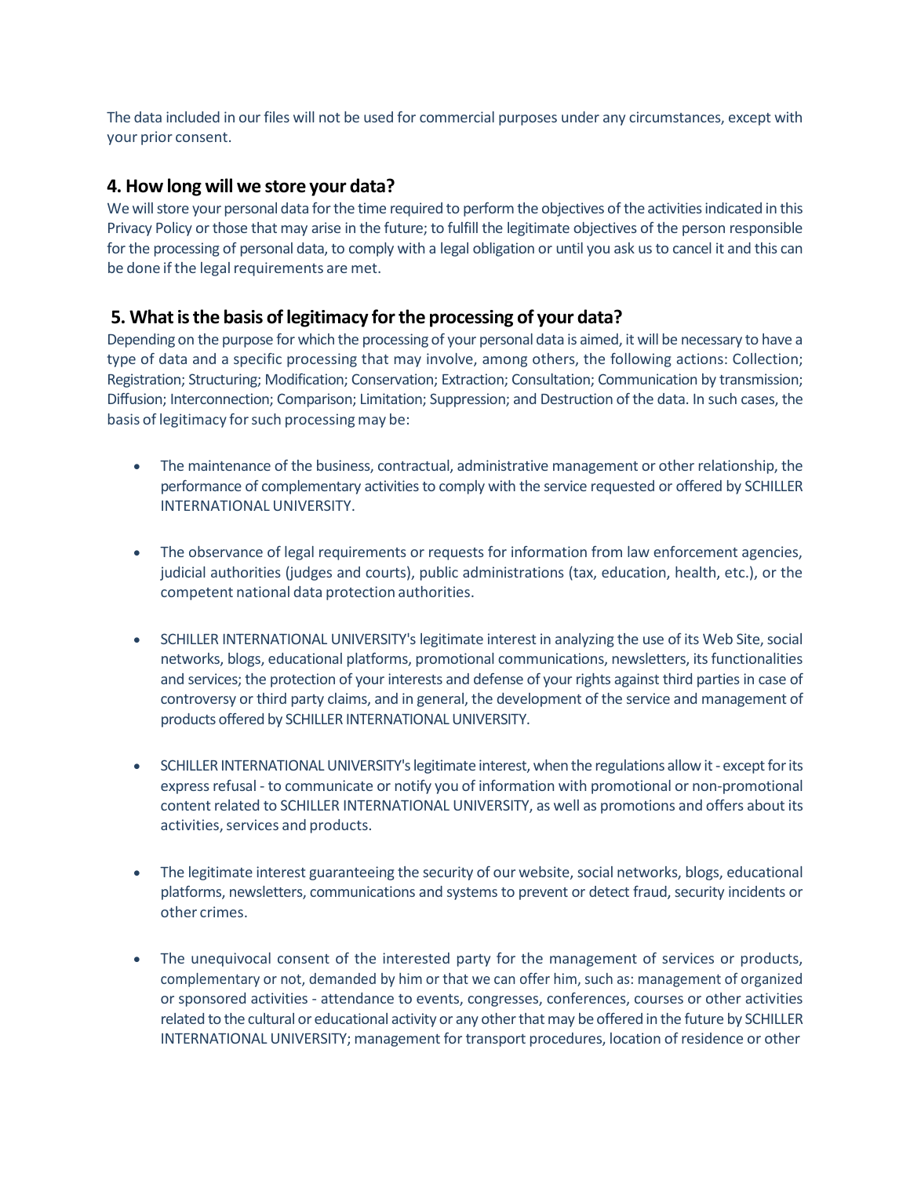The data included in our files will not be used for commercial purposes under any circumstances, except with your prior consent.

#### **4. How long will we store your data?**

We will store your personal data for the time required to perform the objectives of the activities indicated in this Privacy Policy or those that may arise in the future; to fulfill the legitimate objectives of the person responsible for the processing of personal data, to comply with a legal obligation or until you ask us to cancel it and this can be done if the legal requirements are met.

#### **5. Whatisthe basis of legitimacy forthe processing of your data?**

Depending on the purpose for which the processing of your personal data is aimed, it will be necessary to have a type of data and a specific processing that may involve, among others, the following actions: Collection; Registration; Structuring; Modification; Conservation; Extraction; Consultation; Communication by transmission; Diffusion; Interconnection; Comparison; Limitation; Suppression; and Destruction of the data. In such cases, the basis of legitimacy for such processing may be:

- The maintenance of the business, contractual, administrative management or other relationship, the performance of complementary activities to comply with the service requested or offered by SCHILLER INTERNATIONAL UNIVERSITY.
- The observance of legal requirements or requests for information from law enforcement agencies, judicial authorities (judges and courts), public administrations (tax, education, health, etc.), or the competent national data protection authorities.
- SCHILLER INTERNATIONAL UNIVERSITY's legitimate interest in analyzing the use of its Web Site, social networks, blogs, educational platforms, promotional communications, newsletters, its functionalities and services; the protection of your interests and defense of your rights against third parties in case of controversy or third party claims, and in general, the development of the service and management of products offered by SCHILLER INTERNATIONAL UNIVERSITY.
- SCHILLER INTERNATIONAL UNIVERSITY's legitimate interest, when the regulations allow it except for its expressrefusal - to communicate or notify you of information with promotional or non-promotional content related to SCHILLER INTERNATIONAL UNIVERSITY, as well as promotions and offers about its activities, services and products.
- The legitimate interest guaranteeing the security of our website, social networks, blogs, educational platforms, newsletters, communications and systems to prevent or detect fraud, security incidents or other crimes.
- The unequivocal consent of the interested party for the management of services or products, complementary or not, demanded by him or that we can offer him, such as: management of organized or sponsored activities - attendance to events, congresses, conferences, courses or other activities related to the cultural or educational activity or any other that may be offered in the future by SCHILLER INTERNATIONAL UNIVERSITY; management for transport procedures, location of residence or other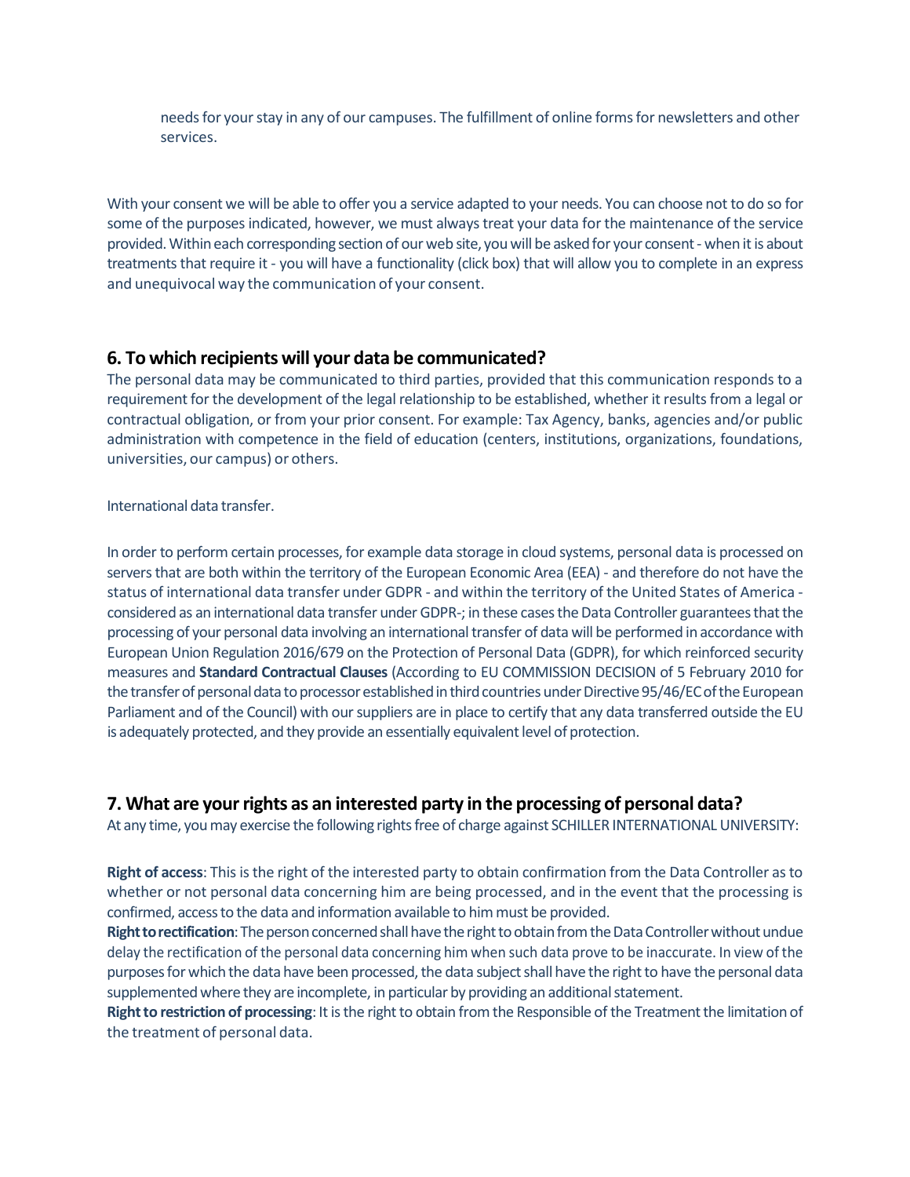needs for your stay in any of our campuses. The fulfillment of online forms for newsletters and other services.

With your consent we will be able to offer you a service adapted to your needs. You can choose not to do so for some of the purposes indicated, however, we must always treat your data for the maintenance of the service provided. Within each corresponding section of our web site, you will be asked for your consent - when it is about treatments that require it - you will have a functionality (click box) that will allow you to complete in an express and unequivocal way the communication of your consent.

#### **6. To which recipients will your data be communicated?**

The personal data may be communicated to third parties, provided that this communication responds to a requirement for the development of the legal relationship to be established, whether it results from a legal or contractual obligation, or from your prior consent. For example: Tax Agency, banks, agencies and/or public administration with competence in the field of education (centers, institutions, organizations, foundations, universities, our campus) or others.

#### International data transfer.

In order to perform certain processes, for example data storage in cloud systems, personal data is processed on servers that are both within the territory of the European Economic Area (EEA) - and therefore do not have the status of international data transfer under GDPR - and within the territory of the United States of America considered as an international data transfer under GDPR-; in these cases the Data Controller guarantees that the processing of your personal data involving an international transfer of data will be performed in accordance with European Union Regulation 2016/679 on the Protection of Personal Data (GDPR), for which reinforced security measures and **Standard Contractual Clauses** (According to EU COMMISSION DECISION of 5 February 2010 for the transfer of personal data to processor established in third countries under Directive 95/46/EC of the European Parliament and of the Council) with oursuppliers are in place to certify that any data transferred outside the EU is adequately protected, and they provide an essentially equivalent level of protection.

#### **7. What are yourrights as an interested party in the processing of personal data?**

At any time, you may exercise the following rights free of charge against SCHILLER INTERNATIONAL UNIVERSITY:

**Right of access:** This is the right of the interested party to obtain confirmation from the Data Controller as to whether or not personal data concerning him are being processed, and in the event that the processing is confirmed, access to the data and information available to him must be provided.

Right to rectification: The person concerned shall have the right to obtain from the Data Controller without undue delay the rectification of the personal data concerning him when such data prove to be inaccurate. In view of the purposes for which the data have been processed, the data subject shall have the right to have the personal data supplemented where they are incomplete, in particular by providing an additional statement.

**Right to restriction of processing**: It is the right to obtain from the Responsible of the Treatment the limitation of the treatment of personal data.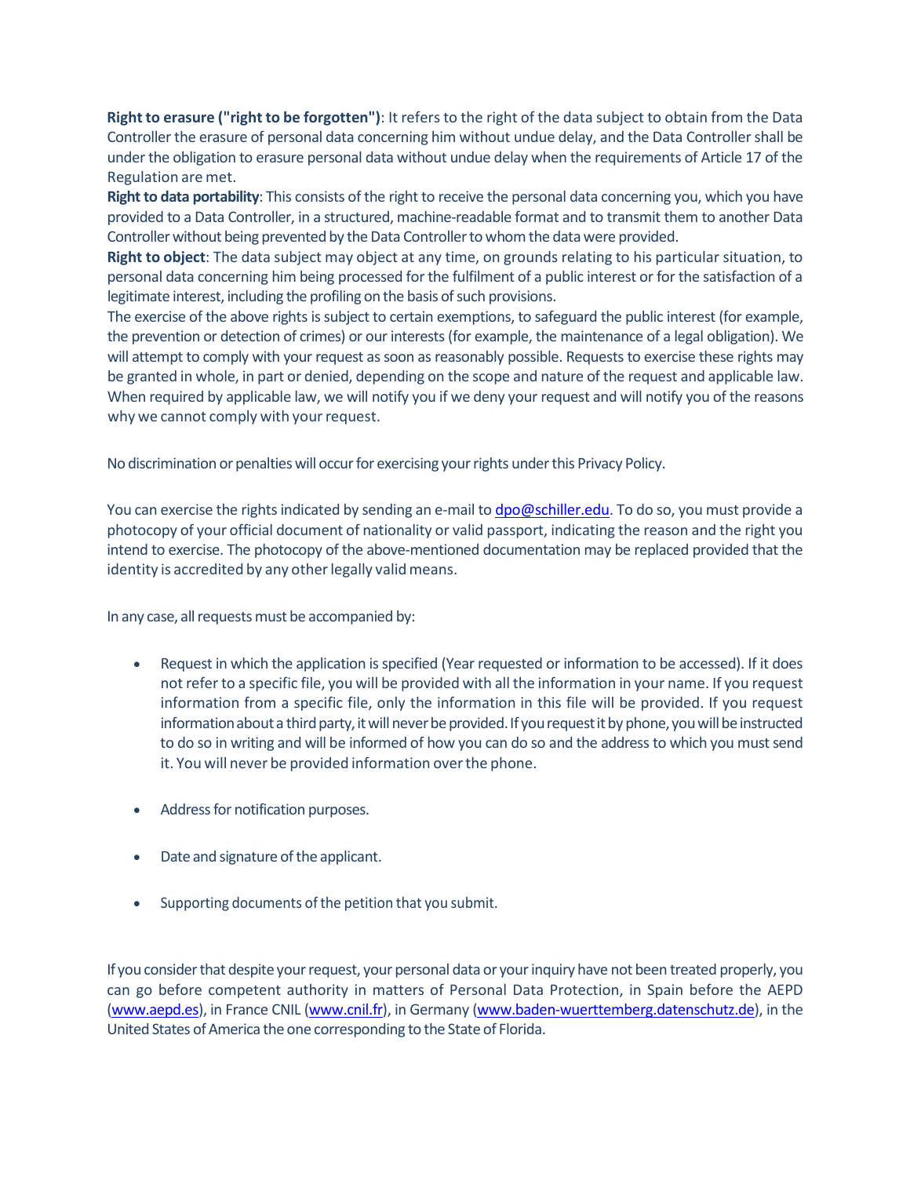**Right to erasure ("right to be forgotten")**: It refers to the right of the data subject to obtain from the Data Controller the erasure of personal data concerning him without undue delay, and the Data Controllershall be under the obligation to erasure personal data without undue delay when the requirements of Article 17 of the Regulation are met.

**Right to data portability**: This consists of the right to receive the personal data concerning you, which you have provided to a Data Controller, in a structured, machine-readable format and to transmit them to another Data Controller without being prevented by the Data Controller to whom the data were provided.

**Right to object**: The data subject may object at any time, on grounds relating to his particular situation, to personal data concerning him being processed for the fulfilment of a public interest or for the satisfaction of a legitimate interest, including the profiling on the basis of such provisions.

The exercise of the above rights is subject to certain exemptions, to safeguard the public interest (for example, the prevention or detection of crimes) or our interests (for example, the maintenance of a legal obligation). We will attempt to comply with your request as soon as reasonably possible. Requests to exercise these rights may be granted in whole, in part or denied, depending on the scope and nature of the request and applicable law. When required by applicable law, we will notify you if we deny your request and will notify you of the reasons why we cannot comply with your request.

No discrimination or penalties will occur for exercising your rights under this Privacy Policy.

You can exercise the rights indicated by sending an e-mail to [dpo@schiller.edu. T](mailto:dpo@schiller.edu)o do so, you must provide a photocopy of your official document of nationality or valid passport, indicating the reason and the right you intend to exercise. The photocopy of the above-mentioned documentation may be replaced provided that the identity is accredited by any other legally valid means.

In any case, all requests must be accompanied by:

- Request in which the application is specified (Year requested or information to be accessed). If it does not refer to a specific file, you will be provided with all the information in your name. If you request information from a specific file, only the information in this file will be provided. If you request information about a third party, it will never be provided. If you request it by phone, you will be instructed to do so in writing and will be informed of how you can do so and the address to which you must send it. You will never be provided information overthe phone.
- Address for notification purposes.
- Date and signature of the applicant.
- Supporting documents of the petition that you submit.

If you consider that despite your request, your personal data or your inquiry have not been treated properly, you can go before competent authority in matters of Personal Data Protection, in Spain before the AEPD [\(www.aepd.es\)](http://www.aepd.es/), in France CNIL [\(www.cnil.fr\)](http://www.cnil.fr/), in Germany [\(www.baden-wuerttemberg.datenschutz.de\)](http://www.baden-wuerttemberg.datenschutz.de/), in the United States of America the one corresponding to the State of Florida.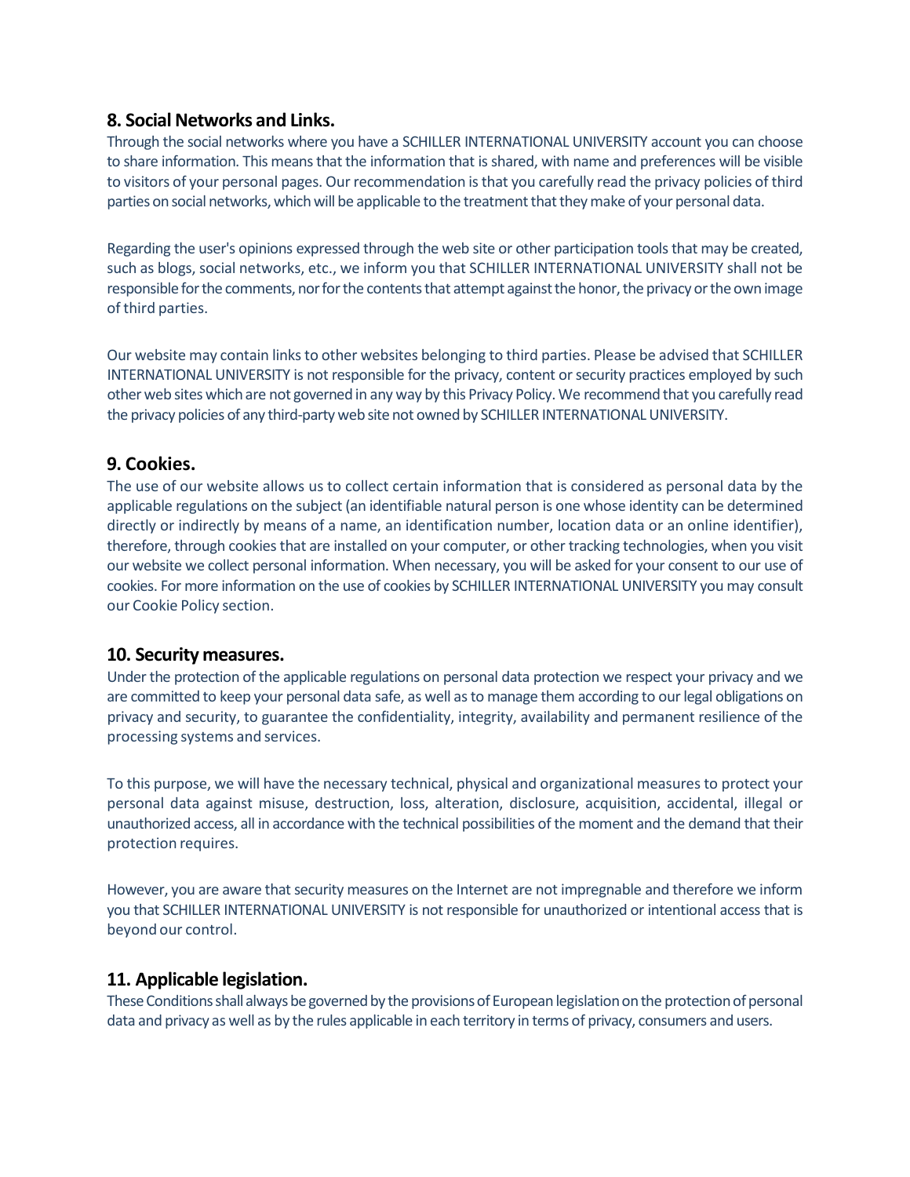#### **8. SocialNetworks and Links.**

Through the social networks where you have a SCHILLER INTERNATIONAL UNIVERSITY account you can choose to share information. This means that the information that is shared, with name and preferences will be visible to visitors of your personal pages. Our recommendation isthat you carefully read the privacy policies of third parties on social networks, which will be applicable to the treatment that they make of your personal data.

Regarding the user's opinions expressed through the web site or other participation tools that may be created, such as blogs, social networks, etc., we inform you that SCHILLER INTERNATIONAL UNIVERSITY shall not be responsible for the comments, nor for the contents that attempt against the honor, the privacy or the own image ofthird parties.

Our website may contain linksto other websites belonging to third parties. Please be advised that SCHILLER INTERNATIONAL UNIVERSITY is not responsible for the privacy, content or security practices employed by such otherweb sites whichare not governedin any way by this Privacy Policy.We recommend that you carefully read the privacy policies of any third-party web site not owned by SCHILLER INTERNATIONAL UNIVERSITY.

#### **9. Cookies.**

The use of our website allows us to collect certain information that is considered as personal data by the applicable regulations on the subject (an identifiable natural person is one whose identity can be determined directly or indirectly by means of a name, an identification number, location data or an online identifier), therefore, through cookies that are installed on your computer, or other tracking technologies, when you visit our website we collect personal information. When necessary, you will be asked for your consent to our use of cookies. For more information on the use of cookies by SCHILLER INTERNATIONAL UNIVERSITY you may consult our Cookie Policy section.

#### **10. Security measures.**

Under the protection of the applicable regulations on personal data protection we respect your privacy and we are committed to keep your personal data safe, as well as to manage them according to our legal obligations on privacy and security, to guarantee the confidentiality, integrity, availability and permanent resilience of the processing systems and services.

To this purpose, we will have the necessary technical, physical and organizational measures to protect your personal data against misuse, destruction, loss, alteration, disclosure, acquisition, accidental, illegal or unauthorized access, all in accordance with the technical possibilities of the moment and the demand that their protection requires.

However, you are aware that security measures on the Internet are not impregnable and therefore we inform you that SCHILLER INTERNATIONAL UNIVERSITY is not responsible for unauthorized or intentional access that is beyond our control.

#### **11. Applicable legislation.**

These Conditions shall always be governed by the provisions of European legislation on the protection of personal data and privacy as well as by the rules applicable in each territory in terms of privacy, consumers and users.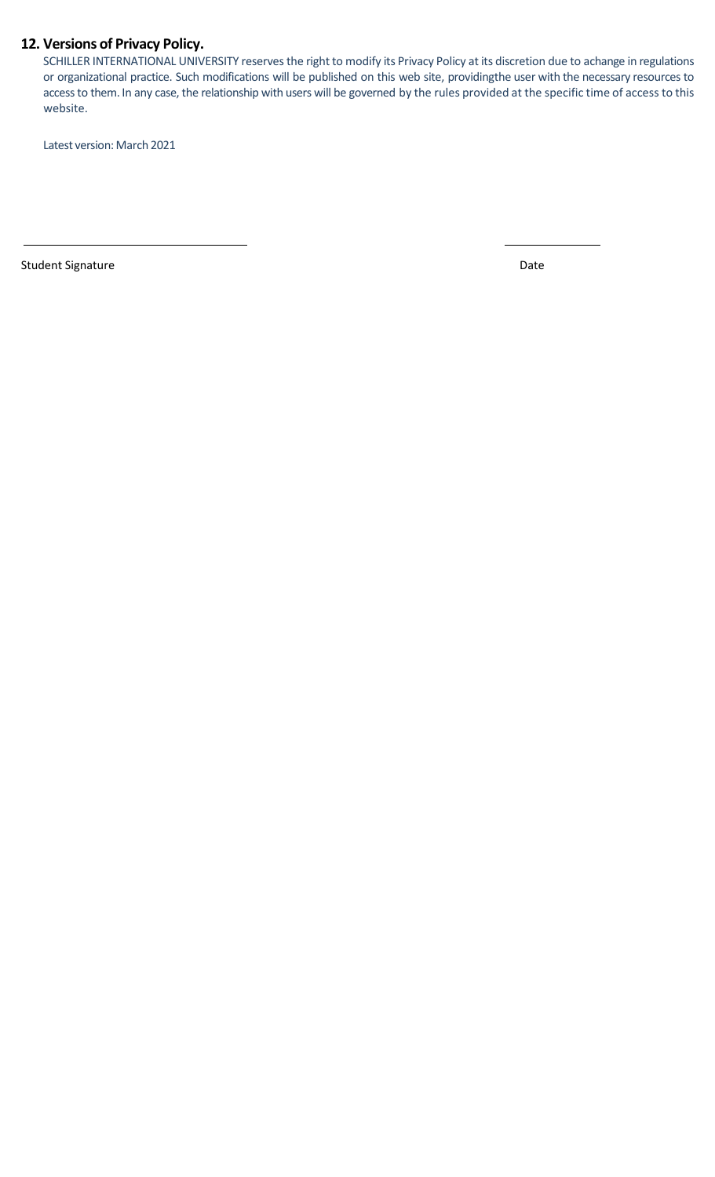## **12. Versions of Privacy Policy.**

SCHILLER INTERNATIONAL UNIVERSITY reserves the right to modify its Privacy Policy at its discretion due to achange in regulations or organizational practice. Such modifications will be published on this web site, providingthe user with the necessary resources to accessto them. In any case, the relationship with users will be governed by the rules provided at the specific time of access to this website.

Latest version: March 2021

Student Signature Date